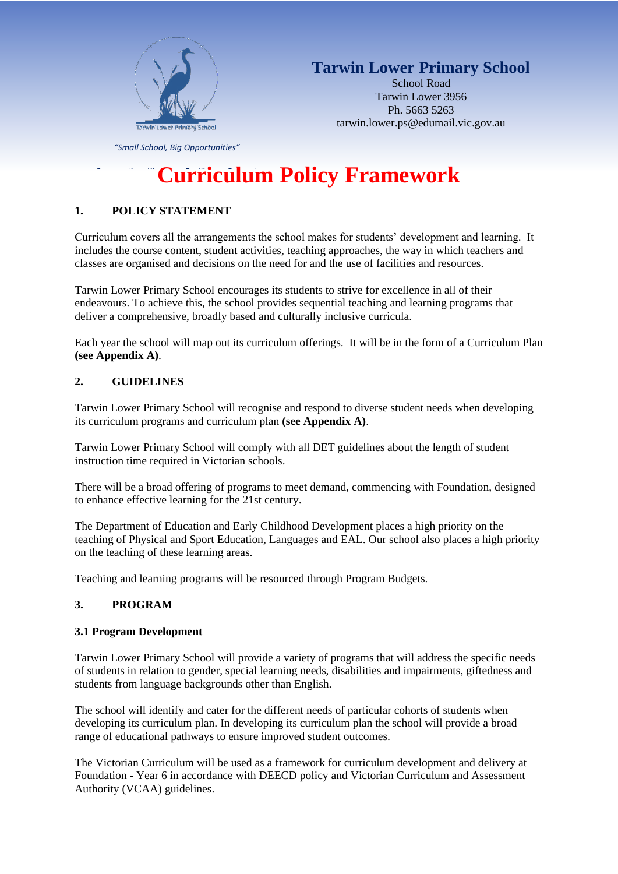

# **Tarwin Lower Primary School**

School Road Tarwin Lower 3956 Ph. 5663 5263 tarwin.lower.ps@edumail.vic.gov.au

*"Small School, Big Opportunities"*

# **Curriculum Policy Framework**

#### **1. POLICY STATEMENT**

Curriculum covers all the arrangements the school makes for students' development and learning. It includes the course content, student activities, teaching approaches, the way in which teachers and classes are organised and decisions on the need for and the use of facilities and resources.

Tarwin Lower Primary School encourages its students to strive for excellence in all of their endeavours. To achieve this, the school provides sequential teaching and learning programs that deliver a comprehensive, broadly based and culturally inclusive curricula.

Each year the school will map out its curriculum offerings. It will be in the form of a Curriculum Plan **(see Appendix A)**.

#### **2. GUIDELINES**

Tarwin Lower Primary School will recognise and respond to diverse student needs when developing its curriculum programs and curriculum plan **(see Appendix A)**.

Tarwin Lower Primary School will comply with all DET guidelines about the length of student instruction time required in Victorian schools.

There will be a broad offering of programs to meet demand, commencing with Foundation, designed to enhance effective learning for the 21st century.

The Department of Education and Early Childhood Development places a high priority on the teaching of Physical and Sport Education, Languages and EAL. Our school also places a high priority on the teaching of these learning areas.

Teaching and learning programs will be resourced through Program Budgets.

#### **3. PROGRAM**

#### **3.1 Program Development**

Tarwin Lower Primary School will provide a variety of programs that will address the specific needs of students in relation to gender, special learning needs, disabilities and impairments, giftedness and students from language backgrounds other than English.

The school will identify and cater for the different needs of particular cohorts of students when developing its curriculum plan. In developing its curriculum plan the school will provide a broad range of educational pathways to ensure improved student outcomes.

The Victorian Curriculum will be used as a framework for curriculum development and delivery at Foundation - Year 6 in accordance with DEECD policy and Victorian Curriculum and Assessment Authority (VCAA) guidelines.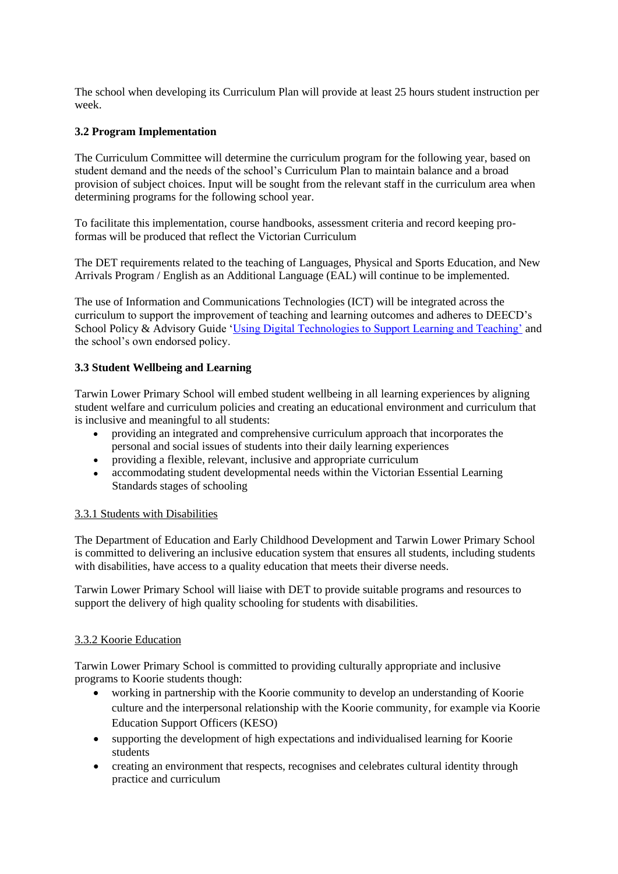The school when developing its Curriculum Plan will provide at least 25 hours student instruction per week.

#### **3.2 Program Implementation**

The Curriculum Committee will determine the curriculum program for the following year, based on student demand and the needs of the school's Curriculum Plan to maintain balance and a broad provision of subject choices. Input will be sought from the relevant staff in the curriculum area when determining programs for the following school year.

To facilitate this implementation, course handbooks, assessment criteria and record keeping proformas will be produced that reflect the Victorian Curriculum

The DET requirements related to the teaching of Languages, Physical and Sports Education, and New Arrivals Program / English as an Additional Language (EAL) will continue to be implemented.

The use of Information and Communications Technologies (ICT) will be integrated across the curriculum to support the improvement of teaching and learning outcomes and adheres to DEECD's School Policy & Advisory Guide ['Using Digital Technologies to Support Learning and Teaching'](http://www.education.vic.gov.au/school/principals/spag/curriculum/Pages/techsupport.aspx) and the school's own endorsed policy.

#### **3.3 Student Wellbeing and Learning**

Tarwin Lower Primary School will embed student wellbeing in all learning experiences by aligning student welfare and curriculum policies and creating an educational environment and curriculum that is inclusive and meaningful to all students:

- providing an integrated and comprehensive curriculum approach that incorporates the personal and social issues of students into their daily learning experiences
- providing a flexible, relevant, inclusive and appropriate curriculum
- accommodating student developmental needs within the Victorian Essential Learning Standards stages of schooling

#### 3.3.1 Students with Disabilities

The Department of Education and Early Childhood Development and Tarwin Lower Primary School is committed to delivering an inclusive education system that ensures all students, including students with disabilities, have access to a quality education that meets their diverse needs.

Tarwin Lower Primary School will liaise with DET to provide suitable programs and resources to support the delivery of high quality schooling for students with disabilities.

#### 3.3.2 Koorie Education

Tarwin Lower Primary School is committed to providing culturally appropriate and inclusive programs to Koorie students though:

- working in partnership with the Koorie community to develop an understanding of Koorie culture and the interpersonal relationship with the Koorie community, for example via Koorie Education Support Officers (KESO)
- supporting the development of high expectations and individualised learning for Koorie students
- creating an environment that respects, recognises and celebrates cultural identity through practice and curriculum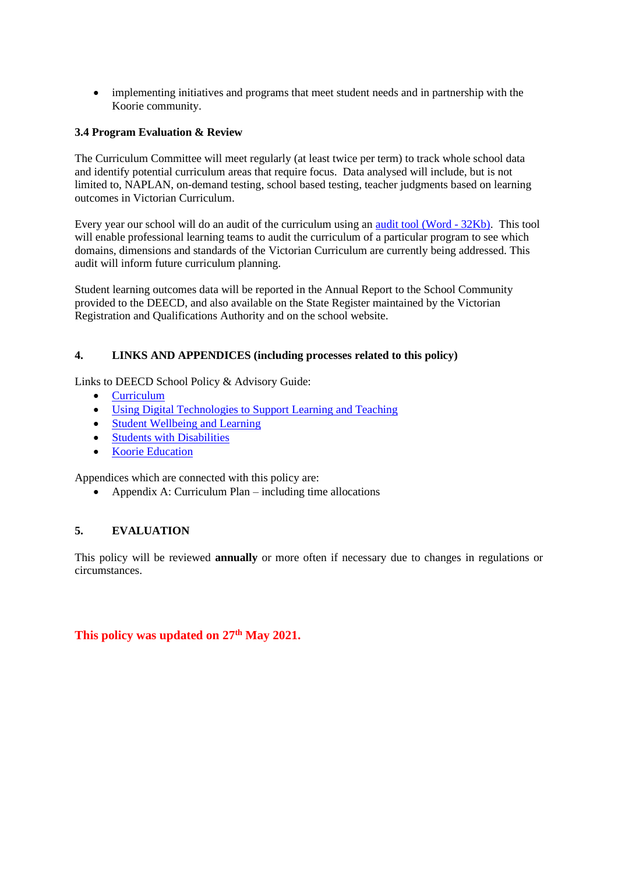• implementing initiatives and programs that meet student needs and in partnership with the Koorie community.

#### **3.4 Program Evaluation & Review**

The Curriculum Committee will meet regularly (at least twice per term) to track whole school data and identify potential curriculum areas that require focus. Data analysed will include, but is not limited to, NAPLAN, on-demand testing, school based testing, teacher judgments based on learning outcomes in Victorian Curriculum.

Every year our school will do an audit of the curriculum using an [audit tool](http://www.eduweb.vic.gov.au/edulibrary/public/teachlearn/student/ph1velsaudittoolpsg.doc) (Word - 32Kb). This tool will enable professional learning teams to audit the curriculum of a particular program to see which domains, dimensions and standards of the Victorian Curriculum are currently being addressed. This audit will inform future curriculum planning.

Student learning outcomes data will be reported in the Annual Report to the School Community provided to the DEECD, and also available on the State Register maintained by the Victorian Registration and Qualifications Authority and on the school website.

#### **4. LINKS AND APPENDICES (including processes related to this policy)**

Links to DEECD School Policy & Advisory Guide:

- **[Curriculum](http://www.education.vic.gov.au/school/principals/spag/curriculum/pages/curriculum.aspx)**
- [Using Digital Technologies to Support Learning and Teaching](http://www.education.vic.gov.au/school/principals/spag/curriculum/Pages/techsupport.aspx)
- [Student Wellbeing and Learning](http://www.education.vic.gov.au/school/principals/spag/curriculum/Pages/wellbeing.aspx)
- [Students with Disabilities](http://www.education.vic.gov.au/school/teachers/teachingresources/diversity/pages/disabilities.aspx)
- [Koorie Education](http://www.education.vic.gov.au/school/principals/spag/curriculum/pages/koorie.aspx)

Appendices which are connected with this policy are:

• Appendix A: Curriculum Plan – including time allocations

#### **5. EVALUATION**

This policy will be reviewed **annually** or more often if necessary due to changes in regulations or circumstances.

**This policy was updated on 27th May 2021.**